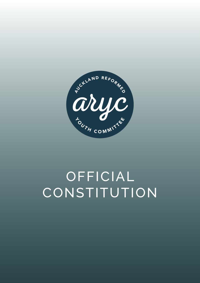

# OFFICIAL **CONSTITUTION**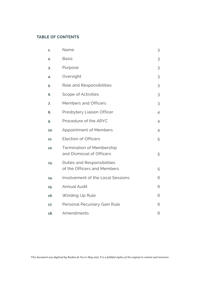# **TABLE OF CONTENTS**

| 1.  | Name                                                          | 3              |
|-----|---------------------------------------------------------------|----------------|
| 2.  | <b>Basis</b>                                                  | 3              |
| 3.  | Purpose                                                       | 3              |
| 4.  | Oversight                                                     | 3              |
| 5.  | Role and Responsibilities                                     | 3              |
| 6.  | Scope of Activities                                           | 3              |
| 7.  | Members and Officers                                          | 3              |
| 8.  | Presbytery Liaison Officer                                    | $\overline{4}$ |
| 9.  | Procedure of the ARYC                                         | $\overline{4}$ |
| 10. | <b>Appointment of Members</b>                                 | $\overline{4}$ |
| 11. | Election of Officers                                          | 5              |
| 12. | <b>Termination of Membership</b><br>and Dismissal of Officers | 5              |
| 13. | Duties and Responsibilities<br>of the Officers and Members    | 5              |
| 14. | <b>Involvement of the Local Sessions</b>                      | 6              |
| 15. | <b>Annual Audit</b>                                           | 6              |
| 16. | Winding Up Rule                                               | 6              |
| 17. | Personal Pecuniary Gain Rule                                  | 6              |
| 18. | Amendments                                                    | 6              |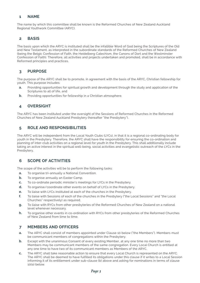## **1 NAME**

The name by which this committee shall be known is the Reformed Churches of New Zealand Auckland Regional Youthwork Committee (ARYC).

#### **2 BASIS**

The basis upon which the ARYC is instituted shall be the infallible Word of God being the Scriptures of the Old and New Testament, as interpreted in the subordinate standards of the Reformed Churches of New Zealand (being the Belgic Confession of Faith, the Heidelberg Catechism, the Canons of Dort and the Westminster Confession of Faith). Therefore, all activities and projects undertaken and promoted, shall be in accordance with Reformed principles and practices.

# **3 PURPOSE**

The purpose of the ARYC shall be to promote, in agreement with the basis of the ARYC, Christian fellowship for youth. This purpose includes:

- **a.** Providing opportunities for spiritual growth and development through the study and application of the Scriptures to all of life, and
- **b.** Providing opportunities for fellowship in a Christian atmosphere.

# **4 OVERSIGHT**

The ARYC has been instituted under the oversight of the Sessions of Reformed Churches in the Reformed Churches of New Zealand Auckland Presbytery (hereafter "the Presbytery").

# **5 ROLE AND RESPONSIBILITIES**

The ARYC will be independent from the Local Youth Clubs (LYCs), in that it is a regional co-ordinating body for youth in the Presbytery. Therefore, the ARYC shall have the responsibility for ensuring the co-ordination and planning of inter-club activities on a regional level for youth in the Presbytery. This shall additionally include taking an active interest in the spiritual well-being, social activities and evangelistic outreach of the LYCs in the Presbytery.

## **6 SCOPE OF ACTIVITIES**

The scope of the activities will be to perform the following tasks:

- **a.** To organise tri-annually a National Convention.
- **b.** To organise annually an Easter Camp.
- **c.** To co-ordinate periodic minister's meetings for LYCs in the Presbytery.
- **d.** To organise/coordinate other events on behalf of LYCs in the Presbytery.
- **e.** To liaise with LYCs instituted at each of the churches in the Presbytery.
- **f.** To liaise with Sessions of each of the churches in the Presbytery ("the Local Sessions" and "the Local Churches" respectively) as required.
- **g.** To liaise with RYCs from other presbyteries of the Reformed Churches of New Zealand on a national level whenever necessary.
- **h.** To organise other events in co-ordination with RYCs from other presbyteries of the Reformed Churches of New Zealand from time to time.

#### **7 MEMBERS AND OFFICERS**

- **a.** The ARYC shall consist of members appointed under Clause 10 below ("the Members"). Members must be communicant members of congregations within the Presbytery.
- **b.** Except with the unanimous Consent of every existing Member, at any one time no more than two Members may be communicant members of the same congregation. Every Local Church is entitled at any one time to have two of its communicant members as Members of the ARYC.
- **c.** The ARYC shall take reasonable action to ensure that every Local Church is represented on the ARYC. The ARYC shall be deemed to have fulfilled its obligations under this clause if it writes to a Local Session informing it of its entitlement under sub-clause (b) above and asking for nominations in terms of clause 10(a) below.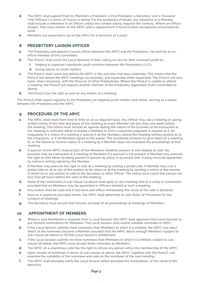- **d.** The ARYC shall appoint from its Members a President, a Vice President, a Secretary, and a Treasurer ("the Officers") in terms of Clause 11 below. For the avoidance of doubt, any reference to a Member shall include a reference to an Officer unless the context clearly requires the contrary. Where an Officer resigns, they must remain on the ARYC until a replacement is found (unless exceptional circumstances exist).
- **e.** Members are expected to be on the ARYC for a minimum of 2 years.

# **8 PRESBYTERY LIAISON OFFICER**

- **a.** The Presbytery will appoint a liaison officer between the ARYC and the Presbytery. He shall be an exofficio member of this committee.
- **b.** The PresLO shall assist the Local Sessions in their calling to care for their covenant youth by:
	- **i.** Helping to organise/coordinate youth activities between the Presbytery's LYCs.
	- **ii.** Giving advice on youth matters.
- **c.** The PresLO shall assist and advise the ARYC in the activities that they undertake. This means that the PresLO will attend the ARYC meetings occasionally, and especially when requested. The PresLO will also liaise, when necessary, with the PresLOs of other Presbyteries. Where the PresLO is unable to attend a meeting, the PresLO will request another member of the Presbytery Appointed Youth Committee to attend.
- **d.** The PresLO has the right to vote on any motion at a meeting.

The PresLO shall report regularly to the Presbytery on regional youth matters and needs, serving as a liaison between the Presbytery and the ARYC.

# **9 PROCEDURE OF THE ARYC**

- **a.** The ARYC shall meet from time to time on an as required basis. Any Officer may call a meeting on giving written notice of the time and place of the meeting to every Member not less than one week before the meeting. The notice must include an agenda stating the nature of the business to be transacted at the meeting in sufficient detail to enable a Member to form a reasoned judgment in relation to it. An irregularity in a notice of a meeting is waived if all the Members attend the meeting without protest as to the irregularity, or if all Members agree to the waiver. The accidental omission to give notice of a meeting to, or the failure to receive notice of a meeting by a Member does not invalidate the proceedings at that meeting.
- **b.** A quorum of the ARYC shall be 50% of the Members (whether present or not) eligible to vote. No business may be transacted at a meeting of Members if a quorum is not present. A Member may exercise the right to vote either by being present in person, by proxy or by postal vote. A proxy must be appointed by notice in writing signed by the Member.
- **c.** A Member may exercise the right to vote at a meeting by casting a postal vote. A Member may cast a postal vote on all or any of the matters to be voted on at the meeting by sending a notice of the manner in which he or she wishes to vote to the Secretary or other Officer. The notice must reach that person not less than 48 hours before the start of the meeting.
- **d.** None of the restrictions in sub-clause (a) above shall apply to any meeting held at a camp or convention provided that no Members may be appointed or Officers elected at such a meeting.
- **e.** Any motion shall be valid and in full force and effect immediately the result of the vote is declared.
- **f.** Save as is expressly provided herein, the ARYC shall determine its own Rules of Procedure for the conduct of meetings.
- **g.** The Secretary must ensure that minutes are kept of all proceedings at meetings of Members.

## **10 APPOINTMENT OF MEMBERS**

- **a.** Where a new Member(s) is required from a Local Session, the ARYC shall approach that Local Session to put forward nominations for Members. The Local Session shall submit suitable nominees to ARYC.
- **b.** If the Local Session submits more nominees than Members to which it is entitled, the ARYC may elect which of the nominees become a Member provided that the ARYC elects enough Members (subject to sub-clause (d) below) to fill that Local Session's entitlement.
- **c.** If the Local Session submits no more nominees than Members to which it is entitled, subject to subclause (d) below, the ARYC must accept those nominees as Members.
- **d.** The ARYC on a unanimous vote has the right to refuse any person entry into membership of the ARYC.
- **e.** Upon receipt of nominees in terms of sub-clause (a) above, the ARYC, together with the PresLO, will examine the suitability of the nominees and vote on the nominees at the next meeting.
- **f.** The ARYC shall promptly notify the Local Session which provided the nominations, of the result of the elections.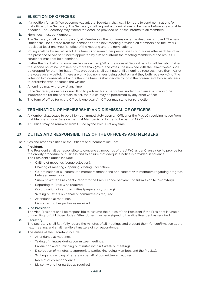## **11 ELECTION OF OFFICERS**

- **a.** If a position for an Office becomes vacant, the Secretary shall call Members to send nominations for that office to the Secretary. The Secretary shall request all nominations to be made before a reasonable deadline. The Secretary may extend the deadline provided he or she informs to all Members.
- **b.** Nominees must be Members.
- **c.** The Secretary shall promptly notify all Members of the nominees once the deadline is closed. The new Officer shall be elected from the nominees at the next meeting provided all Members and the PresLO receive at least one week's notice of the meeting and the nominations.
- **d.** Voting shall be by secret ballot. The PresLO or some other person shall count votes after each ballot in the presence of two scrutineers appointed by him and inform the meeting Members of the results. A scrutineer must not be a nominee.
- **e.** If after the first ballot no nominee has more than 50% of the votes at Second ballot shall be held. If after the second ballot no nominee has more than 50% of the votes, the nominee with the fewest votes shall be dropped for the third ballot. This procedure shall continue until a nominee receives more than 50% of the votes on any ballot. If there are only two nominees being voted on and they both receive 50% of the votes on two consecutive ballots then the PresLO shall decide by lot in the presence of two scrutineers to determine who becomes the Officer.
- **f.** A nominee may withdraw at any time.
- **g.** If the Secretary is unable or unwilling to perform his or her duties, under this clause, or it would be inappropriate for the Secretary to act, the duties may be performed by any other Officer.
- **h.** The term of office for every Office is one year. An Officer may stand for re-election.

# **12 TERMINATION OF MEMBERSHIP AND DISMISSAL OF OFFICERS**

- **a.** A Member shall cease to be a Member immediately upon an Officer or the PresLO receiving notice from that Member's Local Session that that Member is no longer to be part of ARYC.
- **b.** An Officer may be removed from Office by the PresLO at any time.

# **13 DUTIES AND RESPONSIBILITIES OF THE OFFICERS AND MEMBERS**

The duties and responsibilities of the Officers and Members include:

#### **a. President.**

The President shall be responsible to convene all meetings of the ARYC as per Clause 9(a), to provide for the orderly procedure of business and to ensure that adequate notice is provided in advance. The President's duties include:

- **•** Calling of meetings (venue selection).
- **•** Chairing of meetings (opening, closing, facilitation).
- **•** Co-ordination of all committee members (monitoring and contact with members regarding progress between meetings).
- **•** Submit a written Presidents Report to the PresLO once per year (for submission to Presbytery).
- **•** Reporting to PresLO as required.
- **•** Co-ordination of camp activities (preparation, running).
- **•** Writing of letters on behalf of committee as required.
- **•** Attendance at meetings.
- **•** Liaison with other parties as required.

#### **b. Vice President**

The Vice President shall be responsible to assume the duties of the President if the President is unable or unwilling to fulfil those duties. Other duties may be assigned to the Vice President as required.

#### **c. Secretary.**

The Secretary shall faithfully record the minutes of all meetings and present them for confirmation at the next meeting, and shall handle all matters of correspondence.

- **d.** The duties of the Secretary include:
	- **•** Attendance at meetings.
	- **•** Taking of minutes during committee meetings.
	- **•** Production and publishing of minutes (within 1 week of meeting).
	- **•** Distribution of minutes to appropriate parties (including Members and the PresLO).
	- **•** Writing and sending of letters on behalf of committee as required.
	- **•** Receipt of correspondence.
	- **•** Liaison with other parties as required.